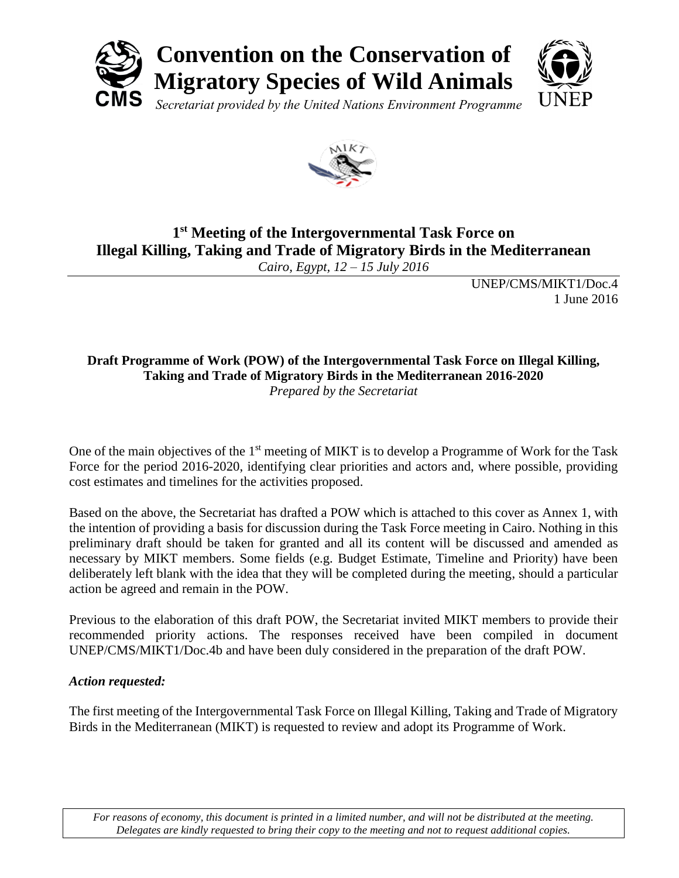



# **1 st Meeting of the Intergovernmental Task Force on Illegal Killing, Taking and Trade of Migratory Birds in the Mediterranean**

*Cairo, Egypt, 12 – 15 July 2016*

UNEP/CMS/MIKT1/Doc.4 1 June 2016

#### **Draft Programme of Work (POW) of the Intergovernmental Task Force on Illegal Killing, Taking and Trade of Migratory Birds in the Mediterranean 2016-2020** *Prepared by the Secretariat*

One of the main objectives of the 1<sup>st</sup> meeting of MIKT is to develop a Programme of Work for the Task Force for the period 2016-2020, identifying clear priorities and actors and, where possible, providing cost estimates and timelines for the activities proposed.

Based on the above, the Secretariat has drafted a POW which is attached to this cover as Annex 1, with the intention of providing a basis for discussion during the Task Force meeting in Cairo. Nothing in this preliminary draft should be taken for granted and all its content will be discussed and amended as necessary by MIKT members. Some fields (e.g. Budget Estimate, Timeline and Priority) have been deliberately left blank with the idea that they will be completed during the meeting, should a particular action be agreed and remain in the POW.

Previous to the elaboration of this draft POW, the Secretariat invited MIKT members to provide their recommended priority actions. The responses received have been compiled in document UNEP/CMS/MIKT1/Doc.4b and have been duly considered in the preparation of the draft POW.

## *Action requested:*

The first meeting of the Intergovernmental Task Force on Illegal Killing, Taking and Trade of Migratory Birds in the Mediterranean (MIKT) is requested to review and adopt its Programme of Work.

*For reasons of economy, this document is printed in a limited number, and will not be distributed at the meeting. Delegates are kindly requested to bring their copy to the meeting and not to request additional copies.*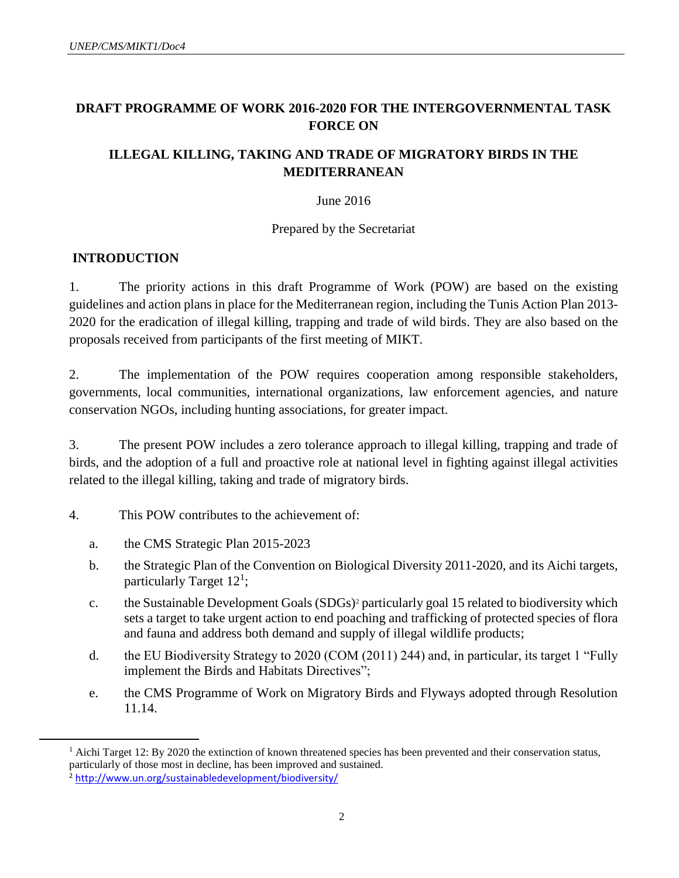## **DRAFT PROGRAMME OF WORK 2016-2020 FOR THE INTERGOVERNMENTAL TASK FORCE ON**

### **ILLEGAL KILLING, TAKING AND TRADE OF MIGRATORY BIRDS IN THE MEDITERRANEAN**

#### June 2016

#### Prepared by the Secretariat

### **INTRODUCTION**

1. The priority actions in this draft Programme of Work (POW) are based on the existing guidelines and action plans in place for the Mediterranean region, including the Tunis Action Plan 2013- 2020 for the eradication of illegal killing, trapping and trade of wild birds. They are also based on the proposals received from participants of the first meeting of MIKT.

2. The implementation of the POW requires cooperation among responsible stakeholders, governments, local communities, international organizations, law enforcement agencies, and nature conservation NGOs, including hunting associations, for greater impact.

3. The present POW includes a zero tolerance approach to illegal killing, trapping and trade of birds, and the adoption of a full and proactive role at national level in fighting against illegal activities related to the illegal killing, taking and trade of migratory birds.

### 4. This POW contributes to the achievement of:

- a. the CMS Strategic Plan 2015-2023
- b. the Strategic Plan of the Convention on Biological Diversity 2011-2020, and its Aichi targets, particularly Target  $12<sup>1</sup>$ ;
- c. the Sustainable Development Goals (SDGs)<sup>2</sup> particularly goal 15 related to biodiversity which sets a target to take urgent action to end poaching and trafficking of protected species of flora and fauna and address both demand and supply of illegal wildlife products;
- d. the EU Biodiversity Strategy to 2020 (COM (2011) 244) and, in particular, its target 1 "Fully implement the Birds and Habitats Directives";
- e. the CMS Programme of Work on Migratory Birds and Flyways adopted through Resolution 11.14.

 $\overline{a}$ 

 $1$  Aichi Target 12: By 2020 the extinction of known threatened species has been prevented and their conservation status, particularly of those most in decline, has been improved and sustained.

<sup>&</sup>lt;sup>2</sup> <http://www.un.org/sustainabledevelopment/biodiversity/>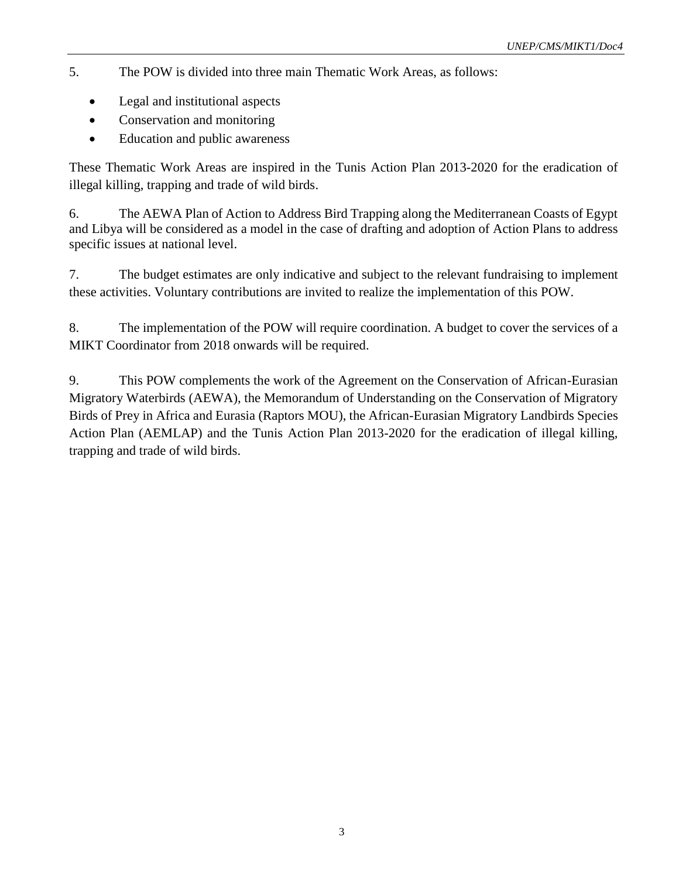- 5. The POW is divided into three main Thematic Work Areas, as follows:
	- Legal and institutional aspects
	- Conservation and monitoring
	- Education and public awareness

These Thematic Work Areas are inspired in the Tunis Action Plan 2013-2020 for the eradication of illegal killing, trapping and trade of wild birds.

6. The AEWA Plan of Action to Address Bird Trapping along the Mediterranean Coasts of Egypt and Libya will be considered as a model in the case of drafting and adoption of Action Plans to address specific issues at national level.

7. The budget estimates are only indicative and subject to the relevant fundraising to implement these activities. Voluntary contributions are invited to realize the implementation of this POW.

8. The implementation of the POW will require coordination. A budget to cover the services of a MIKT Coordinator from 2018 onwards will be required.

9. This POW complements the work of the Agreement on the Conservation of African-Eurasian Migratory Waterbirds (AEWA), the Memorandum of Understanding on the Conservation of Migratory Birds of Prey in Africa and Eurasia (Raptors MOU), the African-Eurasian Migratory Landbirds Species Action Plan (AEMLAP) and the Tunis Action Plan 2013-2020 for the eradication of illegal killing, trapping and trade of wild birds.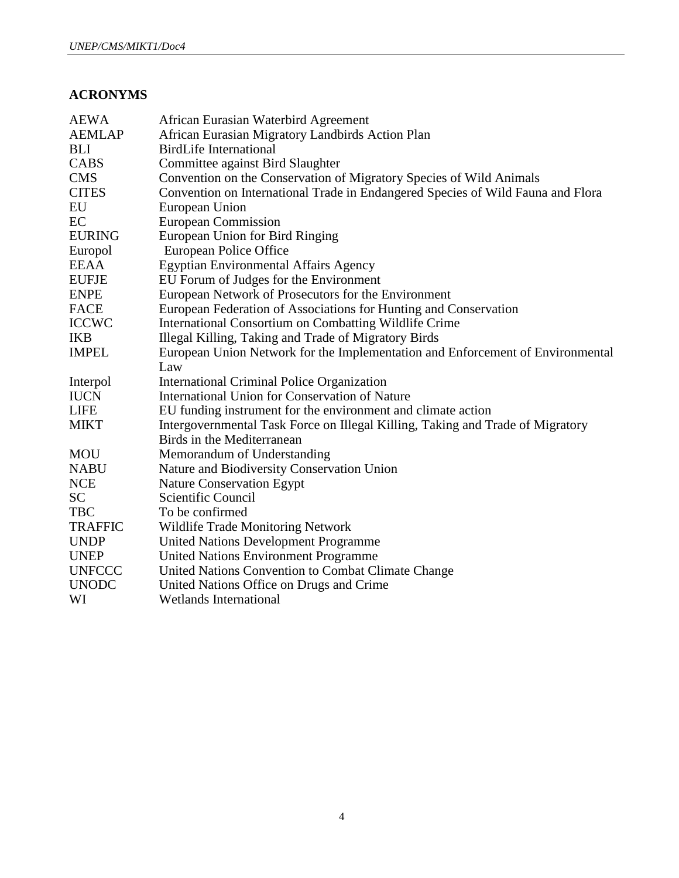## **ACRONYMS**

| <b>AEWA</b>    | African Eurasian Waterbird Agreement                                            |
|----------------|---------------------------------------------------------------------------------|
| <b>AEMLAP</b>  | African Eurasian Migratory Landbirds Action Plan                                |
| <b>BLI</b>     | <b>BirdLife International</b>                                                   |
| CABS           | Committee against Bird Slaughter                                                |
| <b>CMS</b>     | Convention on the Conservation of Migratory Species of Wild Animals             |
| <b>CITES</b>   | Convention on International Trade in Endangered Species of Wild Fauna and Flora |
| EU             | European Union                                                                  |
| EC             | <b>European Commission</b>                                                      |
| <b>EURING</b>  | European Union for Bird Ringing                                                 |
| Europol        | European Police Office                                                          |
| <b>EEAA</b>    | <b>Egyptian Environmental Affairs Agency</b>                                    |
| <b>EUFJE</b>   | EU Forum of Judges for the Environment                                          |
| <b>ENPE</b>    | European Network of Prosecutors for the Environment                             |
| <b>FACE</b>    | European Federation of Associations for Hunting and Conservation                |
| <b>ICCWC</b>   | International Consortium on Combatting Wildlife Crime                           |
| <b>IKB</b>     | Illegal Killing, Taking and Trade of Migratory Birds                            |
| <b>IMPEL</b>   | European Union Network for the Implementation and Enforcement of Environmental  |
|                | Law                                                                             |
| Interpol       | International Criminal Police Organization                                      |
| <b>IUCN</b>    | International Union for Conservation of Nature                                  |
| <b>LIFE</b>    | EU funding instrument for the environment and climate action                    |
| <b>MIKT</b>    | Intergovernmental Task Force on Illegal Killing, Taking and Trade of Migratory  |
|                | Birds in the Mediterranean                                                      |
| <b>MOU</b>     | Memorandum of Understanding                                                     |
| <b>NABU</b>    | Nature and Biodiversity Conservation Union                                      |
| <b>NCE</b>     | <b>Nature Conservation Egypt</b>                                                |
| <b>SC</b>      | Scientific Council                                                              |
| <b>TBC</b>     | To be confirmed                                                                 |
| <b>TRAFFIC</b> | <b>Wildlife Trade Monitoring Network</b>                                        |
| <b>UNDP</b>    | <b>United Nations Development Programme</b>                                     |
| <b>UNEP</b>    | <b>United Nations Environment Programme</b>                                     |
| <b>UNFCCC</b>  | United Nations Convention to Combat Climate Change                              |
| <b>UNODC</b>   | United Nations Office on Drugs and Crime                                        |
| WI             | <b>Wetlands International</b>                                                   |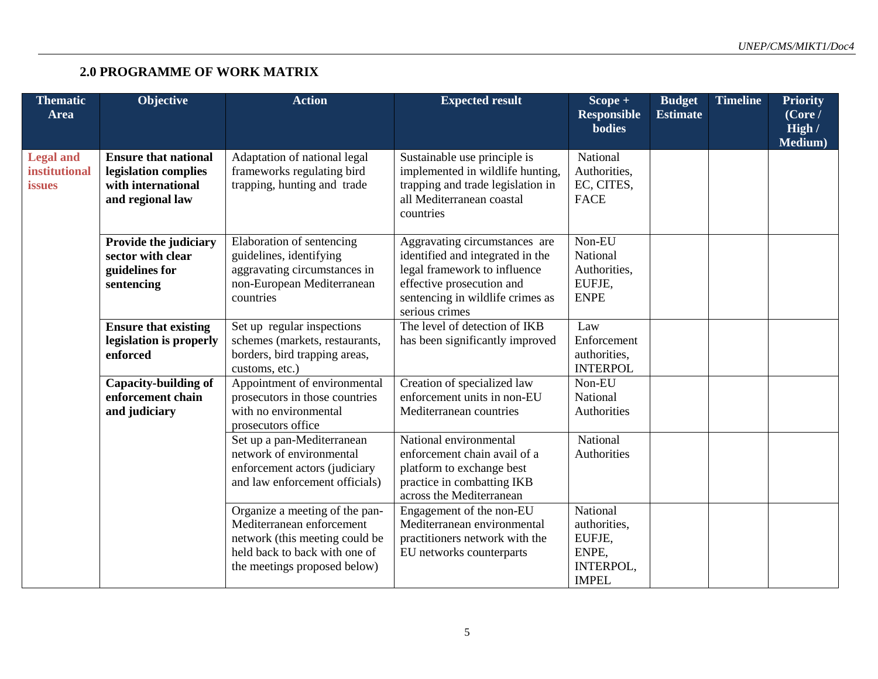# **2.0 PROGRAMME OF WORK MATRIX**

| <b>Thematic</b><br><b>Area</b>                     | Objective                                                                                     | <b>Action</b>                                                                                                                                                  | <b>Expected result</b>                                                                                                                                                               | $Scope +$<br><b>Responsible</b><br><b>bodies</b>                         | <b>Budget</b><br><b>Estimate</b> | <b>Timeline</b> | <b>Priority</b><br>(Core /<br>High /<br>Medium) |
|----------------------------------------------------|-----------------------------------------------------------------------------------------------|----------------------------------------------------------------------------------------------------------------------------------------------------------------|--------------------------------------------------------------------------------------------------------------------------------------------------------------------------------------|--------------------------------------------------------------------------|----------------------------------|-----------------|-------------------------------------------------|
| <b>Legal and</b><br><b>institutional</b><br>issues | <b>Ensure that national</b><br>legislation complies<br>with international<br>and regional law | Adaptation of national legal<br>frameworks regulating bird<br>trapping, hunting and trade                                                                      | Sustainable use principle is<br>implemented in wildlife hunting,<br>trapping and trade legislation in<br>all Mediterranean coastal<br>countries                                      | National<br>Authorities,<br>EC, CITES,<br><b>FACE</b>                    |                                  |                 |                                                 |
|                                                    | Provide the judiciary<br>sector with clear<br>guidelines for<br>sentencing                    | Elaboration of sentencing<br>guidelines, identifying<br>aggravating circumstances in<br>non-European Mediterranean<br>countries                                | Aggravating circumstances are<br>identified and integrated in the<br>legal framework to influence<br>effective prosecution and<br>sentencing in wildlife crimes as<br>serious crimes | Non-EU<br>National<br>Authorities,<br>EUFJE,<br><b>ENPE</b>              |                                  |                 |                                                 |
|                                                    | <b>Ensure that existing</b><br>legislation is properly<br>enforced                            | Set up regular inspections<br>schemes (markets, restaurants,<br>borders, bird trapping areas,<br>customs, etc.)                                                | The level of detection of IKB<br>has been significantly improved                                                                                                                     | Law<br>Enforcement<br>authorities,<br><b>INTERPOL</b>                    |                                  |                 |                                                 |
|                                                    | <b>Capacity-building of</b><br>enforcement chain<br>and judiciary                             | Appointment of environmental<br>prosecutors in those countries<br>with no environmental<br>prosecutors office                                                  | Creation of specialized law<br>enforcement units in non-EU<br>Mediterranean countries                                                                                                | Non-EU<br>National<br>Authorities                                        |                                  |                 |                                                 |
|                                                    |                                                                                               | Set up a pan-Mediterranean<br>network of environmental<br>enforcement actors (judiciary<br>and law enforcement officials)                                      | National environmental<br>enforcement chain avail of a<br>platform to exchange best<br>practice in combatting IKB<br>across the Mediterranean                                        | National<br>Authorities                                                  |                                  |                 |                                                 |
|                                                    |                                                                                               | Organize a meeting of the pan-<br>Mediterranean enforcement<br>network (this meeting could be<br>held back to back with one of<br>the meetings proposed below) | Engagement of the non-EU<br>Mediterranean environmental<br>practitioners network with the<br>EU networks counterparts                                                                | National<br>authorities,<br>EUFJE,<br>ENPE,<br>INTERPOL,<br><b>IMPEL</b> |                                  |                 |                                                 |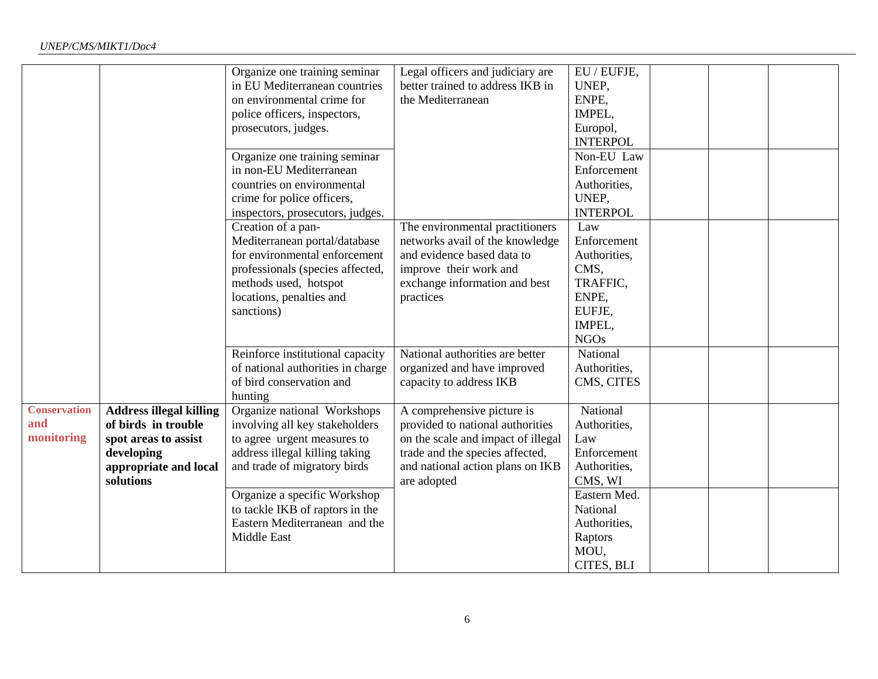|                                          |                                                                                                                                   | Organize one training seminar<br>in EU Mediterranean countries<br>on environmental crime for<br>police officers, inspectors,<br>prosecutors, judges.<br>Organize one training seminar<br>in non-EU Mediterranean<br>countries on environmental<br>crime for police officers,<br>inspectors, prosecutors, judges.<br>Creation of a pan-<br>Mediterranean portal/database<br>for environmental enforcement<br>professionals (species affected,<br>methods used, hotspot | Legal officers and judiciary are<br>better trained to address IKB in<br>the Mediterranean<br>The environmental practitioners<br>networks avail of the knowledge<br>and evidence based data to<br>improve their work and<br>exchange information and best | EU / EUFJE,<br>UNEP,<br>ENPE,<br>IMPEL,<br>Europol,<br><b>INTERPOL</b><br>Non-EU Law<br>Enforcement<br>Authorities,<br>UNEP,<br><b>INTERPOL</b><br>Law<br>Enforcement<br>Authorities,<br>CMS.<br>TRAFFIC, |  |  |
|------------------------------------------|-----------------------------------------------------------------------------------------------------------------------------------|-----------------------------------------------------------------------------------------------------------------------------------------------------------------------------------------------------------------------------------------------------------------------------------------------------------------------------------------------------------------------------------------------------------------------------------------------------------------------|----------------------------------------------------------------------------------------------------------------------------------------------------------------------------------------------------------------------------------------------------------|-----------------------------------------------------------------------------------------------------------------------------------------------------------------------------------------------------------|--|--|
|                                          |                                                                                                                                   | locations, penalties and<br>sanctions)                                                                                                                                                                                                                                                                                                                                                                                                                                | practices                                                                                                                                                                                                                                                | ENPE,<br>EUFJE,<br>IMPEL,<br><b>NGOs</b>                                                                                                                                                                  |  |  |
|                                          |                                                                                                                                   | Reinforce institutional capacity<br>of national authorities in charge<br>of bird conservation and<br>hunting                                                                                                                                                                                                                                                                                                                                                          | National authorities are better<br>organized and have improved<br>capacity to address IKB                                                                                                                                                                | National<br>Authorities,<br>CMS, CITES                                                                                                                                                                    |  |  |
| <b>Conservation</b><br>and<br>monitoring | <b>Address illegal killing</b><br>of birds in trouble<br>spot areas to assist<br>developing<br>appropriate and local<br>solutions | Organize national Workshops<br>involving all key stakeholders<br>to agree urgent measures to<br>address illegal killing taking<br>and trade of migratory birds                                                                                                                                                                                                                                                                                                        | A comprehensive picture is<br>provided to national authorities<br>on the scale and impact of illegal<br>trade and the species affected,<br>and national action plans on IKB<br>are adopted                                                               | National<br>Authorities,<br>Law<br>Enforcement<br>Authorities,<br>CMS, WI                                                                                                                                 |  |  |
|                                          |                                                                                                                                   | Organize a specific Workshop<br>to tackle IKB of raptors in the<br>Eastern Mediterranean and the<br>Middle East                                                                                                                                                                                                                                                                                                                                                       |                                                                                                                                                                                                                                                          | Eastern Med.<br>National<br>Authorities,<br>Raptors<br>MOU,<br>CITES, BLI                                                                                                                                 |  |  |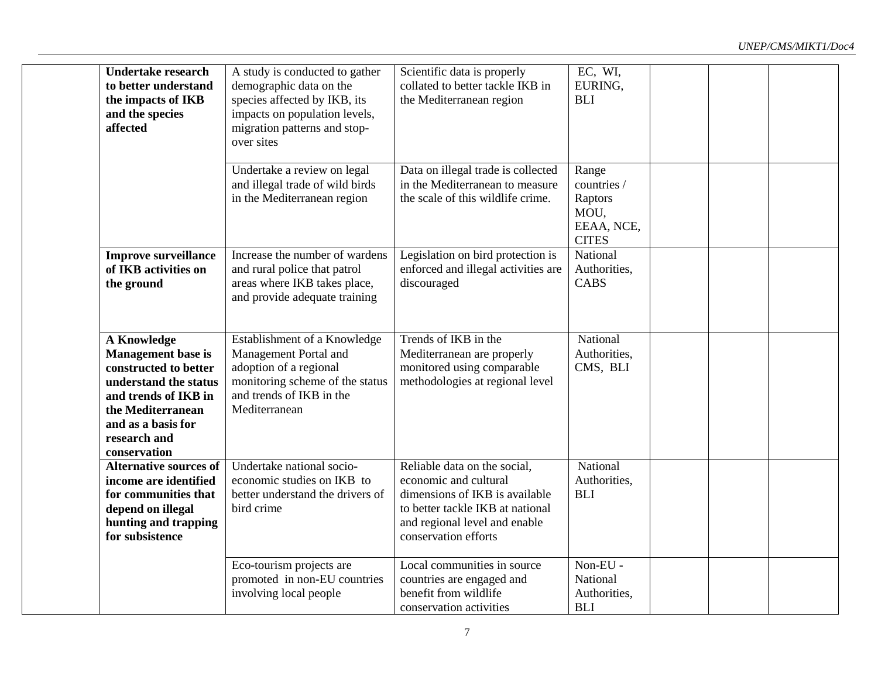| <b>Undertake research</b><br>to better understand<br>the impacts of IKB<br>and the species<br>affected                                                               |                                                                                                        | A study is conducted to gather<br>demographic data on the<br>species affected by IKB, its<br>impacts on population levels,<br>migration patterns and stop-<br>over sites | Scientific data is properly<br>collated to better tackle IKB in<br>the Mediterranean region                                                                                          | EC, WI,<br>EURING,<br><b>BLI</b>                                      |  |
|----------------------------------------------------------------------------------------------------------------------------------------------------------------------|--------------------------------------------------------------------------------------------------------|--------------------------------------------------------------------------------------------------------------------------------------------------------------------------|--------------------------------------------------------------------------------------------------------------------------------------------------------------------------------------|-----------------------------------------------------------------------|--|
|                                                                                                                                                                      |                                                                                                        | Undertake a review on legal<br>and illegal trade of wild birds<br>in the Mediterranean region                                                                            | Data on illegal trade is collected<br>in the Mediterranean to measure<br>the scale of this wildlife crime.                                                                           | Range<br>countries /<br>Raptors<br>MOU,<br>EEAA, NCE,<br><b>CITES</b> |  |
| of IKB activities on<br>the ground                                                                                                                                   | <b>Improve surveillance</b>                                                                            | Increase the number of wardens<br>and rural police that patrol<br>areas where IKB takes place,<br>and provide adequate training                                          | Legislation on bird protection is<br>enforced and illegal activities are<br>discouraged                                                                                              | National<br>Authorities,<br><b>CABS</b>                               |  |
| <b>A Knowledge</b><br>Management base is<br>constructed to better<br>and trends of IKB in<br>the Mediterranean<br>and as a basis for<br>research and<br>conservation | understand the status                                                                                  | Establishment of a Knowledge<br>Management Portal and<br>adoption of a regional<br>monitoring scheme of the status<br>and trends of IKB in the<br>Mediterranean          | Trends of IKB in the<br>Mediterranean are properly<br>monitored using comparable<br>methodologies at regional level                                                                  | National<br>Authorities,<br>CMS, BLI                                  |  |
| depend on illegal<br>for subsistence                                                                                                                                 | <b>Alternative sources of</b><br>income are identified<br>for communities that<br>hunting and trapping | Undertake national socio-<br>economic studies on IKB to<br>better understand the drivers of<br>bird crime                                                                | Reliable data on the social,<br>economic and cultural<br>dimensions of IKB is available<br>to better tackle IKB at national<br>and regional level and enable<br>conservation efforts | National<br>Authorities,<br><b>BLI</b>                                |  |
|                                                                                                                                                                      |                                                                                                        | Eco-tourism projects are<br>promoted in non-EU countries<br>involving local people                                                                                       | Local communities in source<br>countries are engaged and<br>benefit from wildlife<br>conservation activities                                                                         | Non-EU -<br>National<br>Authorities,<br><b>BLI</b>                    |  |